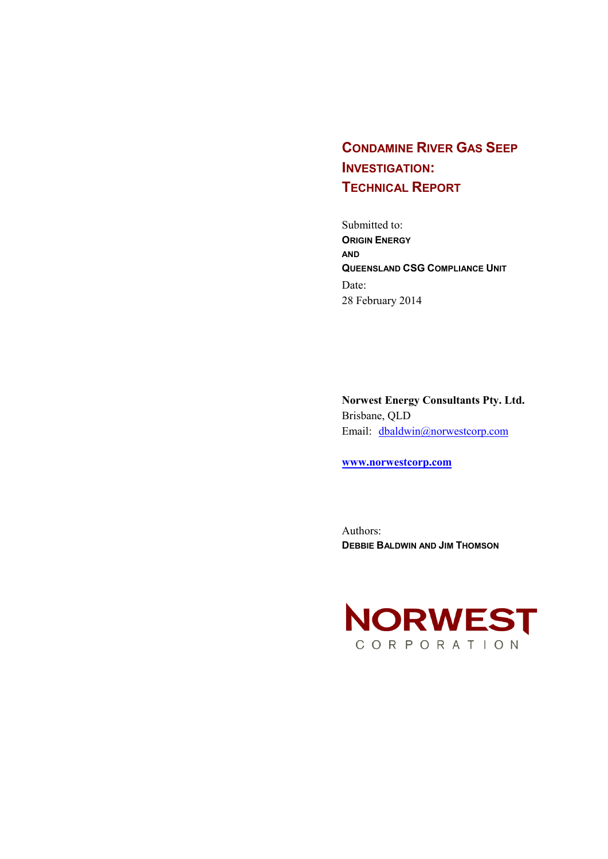# **CONDAMINE RIVER GAS SEEP INVESTIGATION: TECHNICAL REPORT**

Submitted to: **ORIGIN ENERGY AND QUEENSLAND CSG COMPLIANCE UNIT** Date: 28 February 2014

**Norwest Energy Consultants Pty. Ltd.** Brisbane, QLD Email: [dbaldwin@norwestcorp.com](mailto:jthomson@norwestcorp.com)

**[www.norwestcorp.com](http://www.norwestcorp.com/)**

Authors: **DEBBIE BALDWIN AND JIM THOMSON**

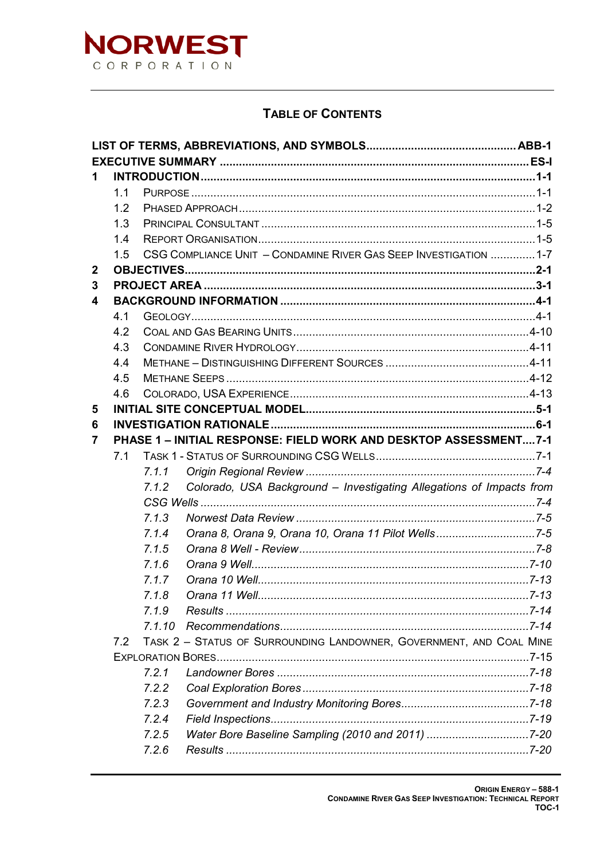

### **TABLE OF CONTENTS**

| 1.          |     |        |                                                                      |  |
|-------------|-----|--------|----------------------------------------------------------------------|--|
|             | 1.1 |        |                                                                      |  |
|             | 1.2 |        |                                                                      |  |
|             | 1.3 |        |                                                                      |  |
|             | 1.4 |        |                                                                      |  |
|             | 1.5 |        | CSG COMPLIANCE UNIT - CONDAMINE RIVER GAS SEEP INVESTIGATION  1-7    |  |
| $\mathbf 2$ |     |        |                                                                      |  |
| 3           |     |        |                                                                      |  |
| 4           |     |        |                                                                      |  |
|             | 4.1 |        |                                                                      |  |
|             | 4.2 |        |                                                                      |  |
|             | 4.3 |        |                                                                      |  |
|             | 4.4 |        |                                                                      |  |
|             | 4.5 |        |                                                                      |  |
|             | 4.6 |        |                                                                      |  |
| 5           |     |        |                                                                      |  |
| 6           |     |        |                                                                      |  |
| 7           |     |        | PHASE 1 - INITIAL RESPONSE: FIELD WORK AND DESKTOP ASSESSMENT 7-1    |  |
|             | 7.1 |        |                                                                      |  |
|             |     | 7.1.1  |                                                                      |  |
|             |     | 7.1.2  | Colorado, USA Background - Investigating Allegations of Impacts from |  |
|             |     |        |                                                                      |  |
|             |     | 7.1.3  |                                                                      |  |
|             |     | 7.1.4  | Orana 8, Orana 9, Orana 10, Orana 11 Pilot Wells7-5                  |  |
|             |     | 7.1.5  |                                                                      |  |
|             |     | 7.1.6  |                                                                      |  |
|             |     | 7.1.7  |                                                                      |  |
|             |     | 718    |                                                                      |  |
|             |     | 7.1.9  |                                                                      |  |
|             |     | 7.1.10 |                                                                      |  |
|             | 7.2 |        | TASK 2 - STATUS OF SURROUNDING LANDOWNER, GOVERNMENT, AND COAL MINE  |  |
|             |     |        |                                                                      |  |
|             |     | 7.2.1  |                                                                      |  |
|             |     | 7.2.2  |                                                                      |  |
|             |     | 7.2.3  |                                                                      |  |
|             |     | 7.2.4  |                                                                      |  |
|             |     | 7.2.5  | Water Bore Baseline Sampling (2010 and 2011) 7-20                    |  |
|             |     | 7.2.6  |                                                                      |  |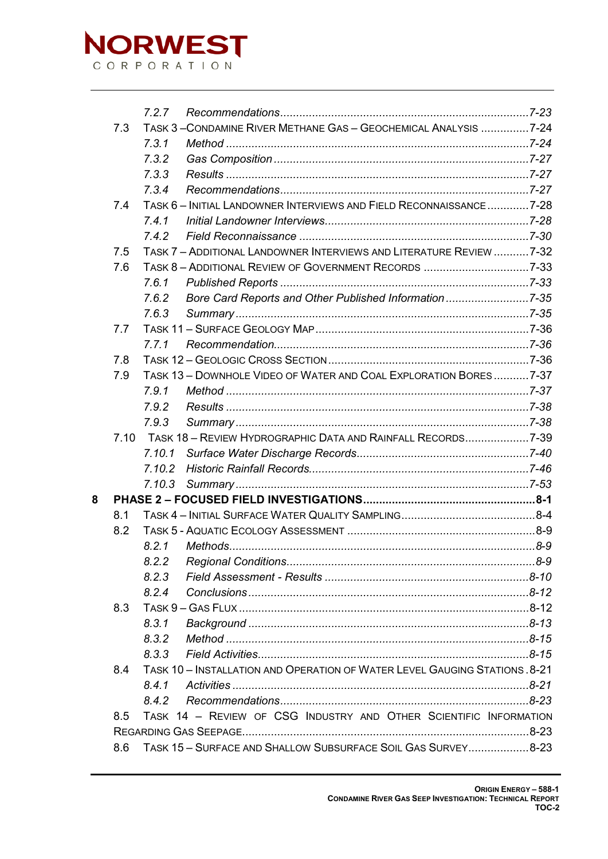

|   |      | 7.2.7  |                                                                            |  |
|---|------|--------|----------------------------------------------------------------------------|--|
|   |      |        |                                                                            |  |
|   | 7.3  |        | TASK 3-CONDAMINE RIVER METHANE GAS-GEOCHEMICAL ANALYSIS 7-24               |  |
|   |      | 7.3.1  |                                                                            |  |
|   |      | 7.3.2  |                                                                            |  |
|   |      | 7.3.3  |                                                                            |  |
|   |      | 7.3.4  |                                                                            |  |
|   | 7.4  |        | TASK 6 - INITIAL LANDOWNER INTERVIEWS AND FIELD RECONNAISSANCE  7-28       |  |
|   |      | 7.4.1  |                                                                            |  |
|   |      | 7.4.2  |                                                                            |  |
|   | 7.5  |        | TASK 7 - ADDITIONAL LANDOWNER INTERVIEWS AND LITERATURE REVIEW  7-32       |  |
|   | 7.6  |        |                                                                            |  |
|   |      | 7.6.1  |                                                                            |  |
|   |      | 7.6.2  | Bore Card Reports and Other Published Information7-35                      |  |
|   |      | 7.6.3  |                                                                            |  |
|   | 7.7  |        |                                                                            |  |
|   |      | 7.7.1  |                                                                            |  |
|   | 7.8  |        |                                                                            |  |
|   | 7.9  |        | TASK 13 - DOWNHOLE VIDEO OF WATER AND COAL EXPLORATION BORES7-37           |  |
|   |      | 7.9.1  |                                                                            |  |
|   |      | 7.9.2  |                                                                            |  |
|   |      | 7.9.3  |                                                                            |  |
|   | 7.10 |        |                                                                            |  |
|   |      |        |                                                                            |  |
|   |      | 7.10.2 |                                                                            |  |
|   |      | 7.10.3 |                                                                            |  |
| 8 |      |        |                                                                            |  |
|   | 8.1  |        |                                                                            |  |
|   | 8.2  |        |                                                                            |  |
|   |      | 8.2.1  |                                                                            |  |
|   |      | 8.2.2  |                                                                            |  |
|   |      | 8.2.3  |                                                                            |  |
|   |      | 8.2.4  |                                                                            |  |
|   | 8.3  |        |                                                                            |  |
|   |      | 8.3.1  |                                                                            |  |
|   |      | 8.3.2  |                                                                            |  |
|   |      | 8.3.3  |                                                                            |  |
|   | 8.4  |        | TASK 10 - INSTALLATION AND OPERATION OF WATER LEVEL GAUGING STATIONS. 8-21 |  |
|   |      | 8.4.1  |                                                                            |  |
|   |      | 8.4.2  |                                                                            |  |
|   | 8.5  |        | TASK 14 - REVIEW OF CSG INDUSTRY AND OTHER SCIENTIFIC INFORMATION          |  |
|   |      |        |                                                                            |  |
|   | 8.6  |        | TASK 15 - SURFACE AND SHALLOW SUBSURFACE SOIL GAS SURVEY8-23               |  |
|   |      |        |                                                                            |  |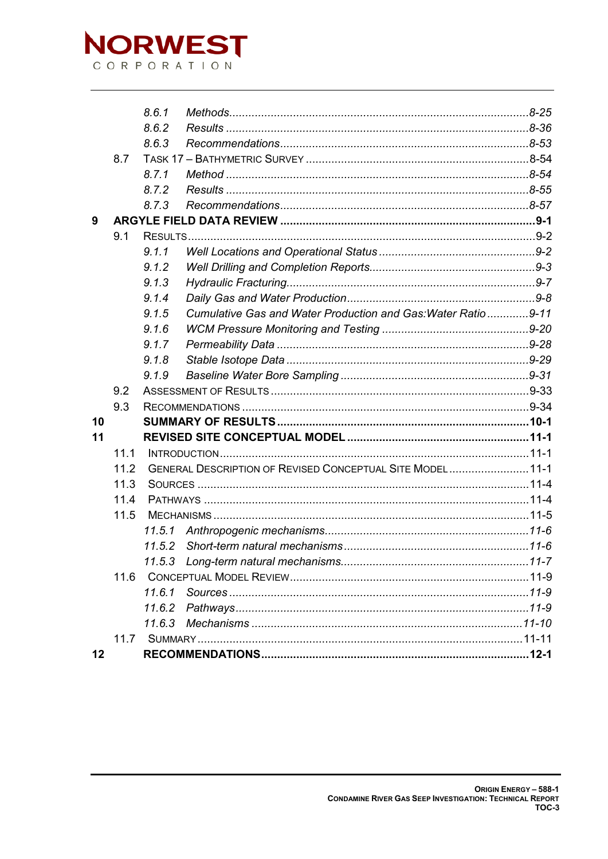

|    |      | 8.6.1  |                                                              |  |
|----|------|--------|--------------------------------------------------------------|--|
|    |      | 8.6.2  |                                                              |  |
|    |      | 8.6.3  |                                                              |  |
|    | 8.7  |        |                                                              |  |
|    |      | 8.7.1  |                                                              |  |
|    |      | 8.7.2  |                                                              |  |
|    |      | 8.7.3  |                                                              |  |
| 9  |      |        |                                                              |  |
|    | 9.1  |        |                                                              |  |
|    |      | 9.1.1  |                                                              |  |
|    |      | 9.1.2  |                                                              |  |
|    |      | 9.1.3  |                                                              |  |
|    |      | 9.1.4  |                                                              |  |
|    |      | 9.1.5  | Cumulative Gas and Water Production and Gas: Water Ratio9-11 |  |
|    |      | 9.1.6  |                                                              |  |
|    |      | 9.1.7  |                                                              |  |
|    |      | 9.1.8  |                                                              |  |
|    |      | 9.1.9  |                                                              |  |
|    | 9.2  |        |                                                              |  |
|    | 9.3  |        |                                                              |  |
| 10 |      |        |                                                              |  |
| 11 |      |        |                                                              |  |
|    | 11.1 |        |                                                              |  |
|    | 11.2 |        | GENERAL DESCRIPTION OF REVISED CONCEPTUAL SITE MODEL 11-1    |  |
|    | 11.3 |        |                                                              |  |
|    | 11.4 |        |                                                              |  |
|    | 11.5 |        |                                                              |  |
|    |      | 11.5.1 |                                                              |  |
|    |      |        |                                                              |  |
|    |      |        |                                                              |  |
|    | 11.6 |        |                                                              |  |
|    |      | 11.6.1 |                                                              |  |
|    |      | 11.6.2 |                                                              |  |
|    |      | 11.6.3 |                                                              |  |
|    | 11.7 |        |                                                              |  |
| 12 |      |        |                                                              |  |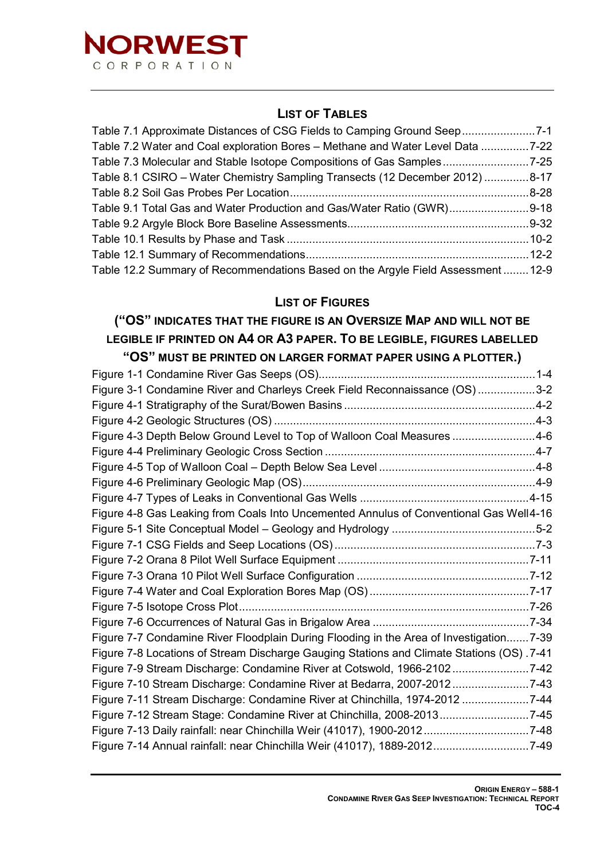

### **LIST OF TABLES**

| Table 7.1 Approximate Distances of CSG Fields to Camping Ground Seep7-1          |  |
|----------------------------------------------------------------------------------|--|
| Table 7.2 Water and Coal exploration Bores - Methane and Water Level Data 7-22   |  |
| Table 7.3 Molecular and Stable Isotope Compositions of Gas Samples7-25           |  |
| Table 8.1 CSIRO - Water Chemistry Sampling Transects (12 December 2012) 8-17     |  |
|                                                                                  |  |
| Table 9.1 Total Gas and Water Production and Gas/Water Ratio (GWR)9-18           |  |
|                                                                                  |  |
|                                                                                  |  |
|                                                                                  |  |
| Table 12.2 Summary of Recommendations Based on the Argyle Field Assessment  12-9 |  |

#### **LIST OF FIGURES**

## **("OS" INDICATES THAT THE FIGURE IS AN OVERSIZE MAP AND WILL NOT BE LEGIBLE IF PRINTED ON A4 OR A3 PAPER. TO BE LEGIBLE, FIGURES LABELLED**

| "OS" MUST BE PRINTED ON LARGER FORMAT PAPER USING A PLOTTER.)                             |  |
|-------------------------------------------------------------------------------------------|--|
|                                                                                           |  |
| Figure 3-1 Condamine River and Charleys Creek Field Reconnaissance (OS) 3-2               |  |
|                                                                                           |  |
|                                                                                           |  |
| Figure 4-3 Depth Below Ground Level to Top of Walloon Coal Measures 4-6                   |  |
|                                                                                           |  |
|                                                                                           |  |
|                                                                                           |  |
|                                                                                           |  |
| Figure 4-8 Gas Leaking from Coals Into Uncemented Annulus of Conventional Gas Well4-16    |  |
|                                                                                           |  |
|                                                                                           |  |
|                                                                                           |  |
|                                                                                           |  |
|                                                                                           |  |
|                                                                                           |  |
|                                                                                           |  |
| Figure 7-7 Condamine River Floodplain During Flooding in the Area of Investigation 7-39   |  |
| Figure 7-8 Locations of Stream Discharge Gauging Stations and Climate Stations (OS) .7-41 |  |
| Figure 7-9 Stream Discharge: Condamine River at Cotswold, 1966-21027-42                   |  |
| Figure 7-10 Stream Discharge: Condamine River at Bedarra, 2007-20127-43                   |  |
| Figure 7-11 Stream Discharge: Condamine River at Chinchilla, 1974-2012 7-44               |  |
| Figure 7-12 Stream Stage: Condamine River at Chinchilla, 2008-20137-45                    |  |
|                                                                                           |  |
| Figure 7-14 Annual rainfall: near Chinchilla Weir (41017), 1889-20127-49                  |  |
|                                                                                           |  |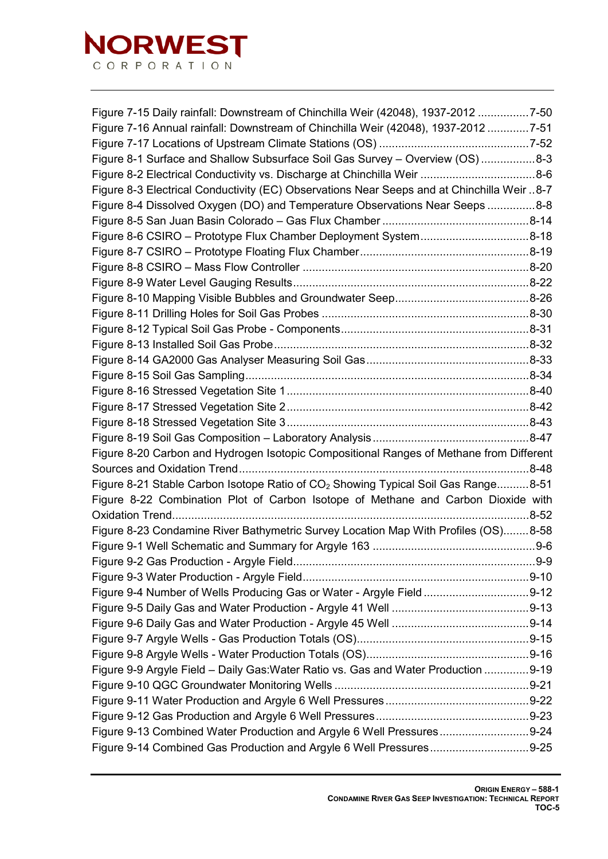

| Figure 7-15 Daily rainfall: Downstream of Chinchilla Weir (42048), 1937-2012 7-50             |  |
|-----------------------------------------------------------------------------------------------|--|
| Figure 7-16 Annual rainfall: Downstream of Chinchilla Weir (42048), 1937-2012 7-51            |  |
|                                                                                               |  |
| Figure 8-1 Surface and Shallow Subsurface Soil Gas Survey - Overview (OS) 8-3                 |  |
|                                                                                               |  |
| Figure 8-3 Electrical Conductivity (EC) Observations Near Seeps and at Chinchilla Weir  8-7   |  |
| Figure 8-4 Dissolved Oxygen (DO) and Temperature Observations Near Seeps 8-8                  |  |
|                                                                                               |  |
| Figure 8-6 CSIRO - Prototype Flux Chamber Deployment System8-18                               |  |
|                                                                                               |  |
|                                                                                               |  |
|                                                                                               |  |
|                                                                                               |  |
|                                                                                               |  |
|                                                                                               |  |
|                                                                                               |  |
|                                                                                               |  |
|                                                                                               |  |
|                                                                                               |  |
|                                                                                               |  |
|                                                                                               |  |
|                                                                                               |  |
| Figure 8-20 Carbon and Hydrogen Isotopic Compositional Ranges of Methane from Different       |  |
|                                                                                               |  |
| Figure 8-21 Stable Carbon Isotope Ratio of CO <sub>2</sub> Showing Typical Soil Gas Range8-51 |  |
| Figure 8-22 Combination Plot of Carbon Isotope of Methane and Carbon Dioxide with             |  |
|                                                                                               |  |
| Figure 8-23 Condamine River Bathymetric Survey Location Map With Profiles (OS)8-58            |  |
|                                                                                               |  |
|                                                                                               |  |
|                                                                                               |  |
|                                                                                               |  |
|                                                                                               |  |
|                                                                                               |  |
|                                                                                               |  |
|                                                                                               |  |
| Figure 9-9 Argyle Field - Daily Gas: Water Ratio vs. Gas and Water Production 9-19            |  |
|                                                                                               |  |
|                                                                                               |  |
|                                                                                               |  |
| Figure 9-13 Combined Water Production and Argyle 6 Well Pressures9-24                         |  |
|                                                                                               |  |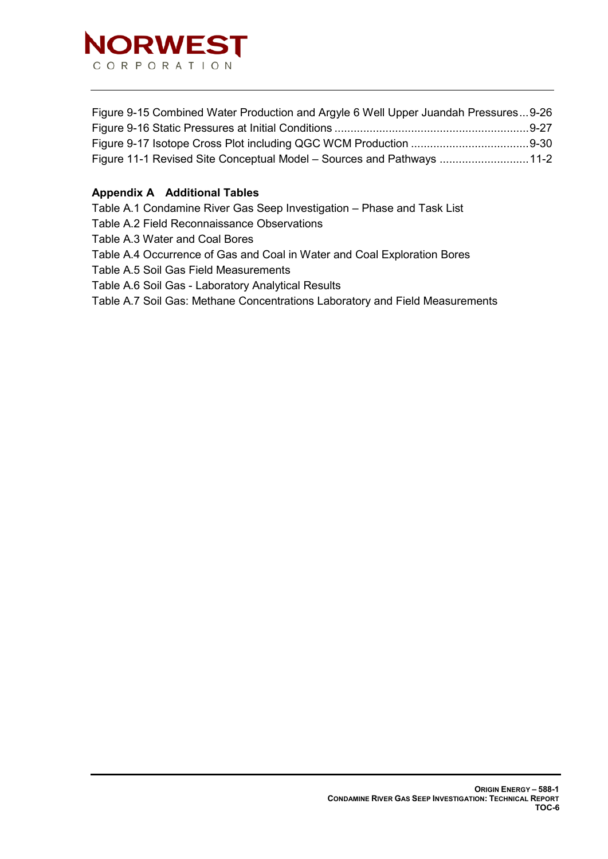

| Figure 9-15 Combined Water Production and Argyle 6 Well Upper Juandah Pressures9-26 |  |
|-------------------------------------------------------------------------------------|--|
|                                                                                     |  |
|                                                                                     |  |
| Figure 11-1 Revised Site Conceptual Model - Sources and Pathways 11-2               |  |

#### **Appendix A Additional Tables**

Table A.1 Condamine River Gas Seep Investigation – Phase and Task List

Table A.2 Field Reconnaissance Observations

Table A.3 Water and Coal Bores

Table A.4 Occurrence of Gas and Coal in Water and Coal Exploration Bores

Table A.5 Soil Gas Field Measurements

Table A.6 Soil Gas - Laboratory Analytical Results

Table A.7 Soil Gas: Methane Concentrations Laboratory and Field Measurements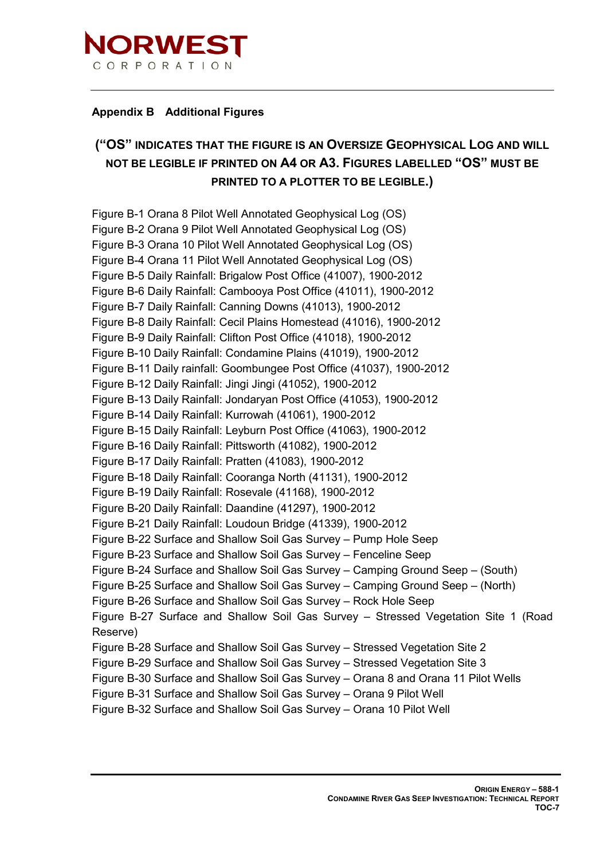

#### **Appendix B Additional Figures**

## **("OS" INDICATES THAT THE FIGURE IS AN OVERSIZE GEOPHYSICAL LOG AND WILL NOT BE LEGIBLE IF PRINTED ON A4 OR A3. FIGURES LABELLED "OS" MUST BE PRINTED TO A PLOTTER TO BE LEGIBLE.)**

Figure B-1 Orana 8 Pilot Well Annotated Geophysical Log (OS) Figure B-2 Orana 9 Pilot Well Annotated Geophysical Log (OS) Figure B-3 Orana 10 Pilot Well Annotated Geophysical Log (OS) Figure B-4 Orana 11 Pilot Well Annotated Geophysical Log (OS) Figure B-5 Daily Rainfall: Brigalow Post Office (41007), 1900-2012 Figure B-6 Daily Rainfall: Cambooya Post Office (41011), 1900-2012 Figure B-7 Daily Rainfall: Canning Downs (41013), 1900-2012 Figure B-8 Daily Rainfall: Cecil Plains Homestead (41016), 1900-2012 Figure B-9 Daily Rainfall: Clifton Post Office (41018), 1900-2012 Figure B-10 Daily Rainfall: Condamine Plains (41019), 1900-2012 Figure B-11 Daily rainfall: Goombungee Post Office (41037), 1900-2012 Figure B-12 Daily Rainfall: Jingi Jingi (41052), 1900-2012 Figure B-13 Daily Rainfall: Jondaryan Post Office (41053), 1900-2012 Figure B-14 Daily Rainfall: Kurrowah (41061), 1900-2012 Figure B-15 Daily Rainfall: Leyburn Post Office (41063), 1900-2012 Figure B-16 Daily Rainfall: Pittsworth (41082), 1900-2012 Figure B-17 Daily Rainfall: Pratten (41083), 1900-2012 Figure B-18 Daily Rainfall: Cooranga North (41131), 1900-2012 Figure B-19 Daily Rainfall: Rosevale (41168), 1900-2012 Figure B-20 Daily Rainfall: Daandine (41297), 1900-2012 Figure B-21 Daily Rainfall: Loudoun Bridge (41339), 1900-2012 Figure B-22 Surface and Shallow Soil Gas Survey – Pump Hole Seep Figure B-23 Surface and Shallow Soil Gas Survey – Fenceline Seep Figure B-24 Surface and Shallow Soil Gas Survey – Camping Ground Seep – (South) Figure B-25 Surface and Shallow Soil Gas Survey – Camping Ground Seep – (North) Figure B-26 Surface and Shallow Soil Gas Survey – Rock Hole Seep Figure B-27 Surface and Shallow Soil Gas Survey – Stressed Vegetation Site 1 (Road Reserve) Figure B-28 Surface and Shallow Soil Gas Survey – Stressed Vegetation Site 2 Figure B-29 Surface and Shallow Soil Gas Survey – Stressed Vegetation Site 3 Figure B-30 Surface and Shallow Soil Gas Survey – Orana 8 and Orana 11 Pilot Wells Figure B-31 Surface and Shallow Soil Gas Survey – Orana 9 Pilot Well Figure B-32 Surface and Shallow Soil Gas Survey – Orana 10 Pilot Well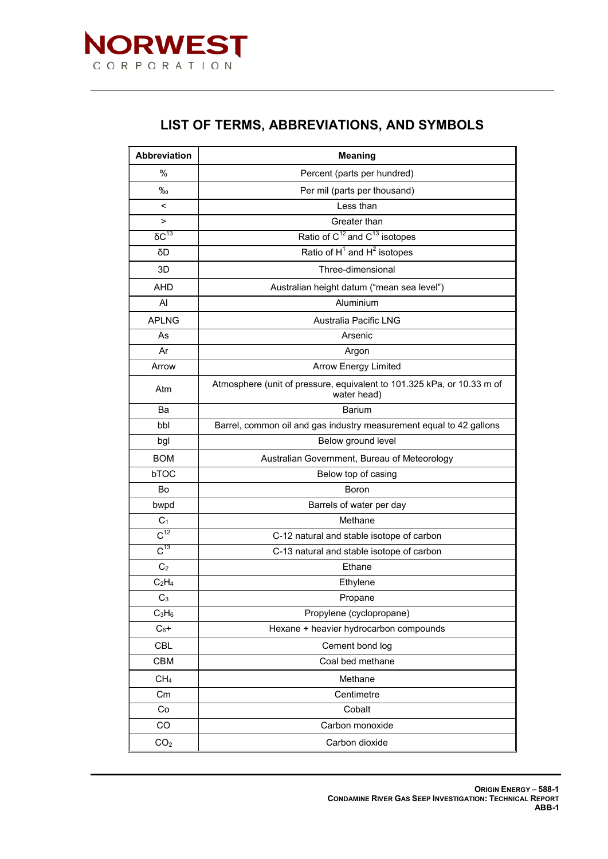

## **LIST OF TERMS, ABBREVIATIONS, AND SYMBOLS**

<span id="page-8-0"></span>

| Abbreviation         | <b>Meaning</b>                                                                        |  |
|----------------------|---------------------------------------------------------------------------------------|--|
| %                    | Percent (parts per hundred)                                                           |  |
| $\%$                 | Per mil (parts per thousand)                                                          |  |
| $\,<\,$              | Less than                                                                             |  |
| >                    | Greater than                                                                          |  |
| $\overline{OC^{13}}$ | Ratio of $C^{12}$ and $C^{13}$ isotopes                                               |  |
| δD                   | Ratio of $H^1$ and $H^2$ isotopes                                                     |  |
| 3D                   | Three-dimensional                                                                     |  |
| <b>AHD</b>           | Australian height datum ("mean sea level")                                            |  |
| AI                   | Aluminium                                                                             |  |
| <b>APLNG</b>         | Australia Pacific LNG                                                                 |  |
| As                   | Arsenic                                                                               |  |
| Ar                   | Argon                                                                                 |  |
| Arrow                | <b>Arrow Energy Limited</b>                                                           |  |
| Atm                  | Atmosphere (unit of pressure, equivalent to 101.325 kPa, or 10.33 m of<br>water head) |  |
| Ba                   | <b>Barium</b>                                                                         |  |
| bbl                  | Barrel, common oil and gas industry measurement equal to 42 gallons                   |  |
| bgl                  | Below ground level                                                                    |  |
| <b>BOM</b>           | Australian Government, Bureau of Meteorology                                          |  |
| bTOC                 | Below top of casing                                                                   |  |
| Bo                   | Boron                                                                                 |  |
| bwpd                 | Barrels of water per day                                                              |  |
| C <sub>1</sub>       | Methane                                                                               |  |
| $\overline{C^{12}}$  | C-12 natural and stable isotope of carbon                                             |  |
| $C^{13}$             | C-13 natural and stable isotope of carbon                                             |  |
| C <sub>2</sub>       | Ethane                                                                                |  |
| $C_2H_4$             | Ethylene                                                                              |  |
| C <sub>3</sub>       | Propane                                                                               |  |
| $C_3H_6$             | Propylene (cyclopropane)                                                              |  |
| $C_6+$               | Hexane + heavier hydrocarbon compounds                                                |  |
| <b>CBL</b>           | Cement bond log                                                                       |  |
| <b>CBM</b>           | Coal bed methane                                                                      |  |
| CH <sub>4</sub>      | Methane                                                                               |  |
| Cm                   | Centimetre                                                                            |  |
| Co                   | Cobalt                                                                                |  |
| CO                   | Carbon monoxide                                                                       |  |
| CO <sub>2</sub>      | Carbon dioxide                                                                        |  |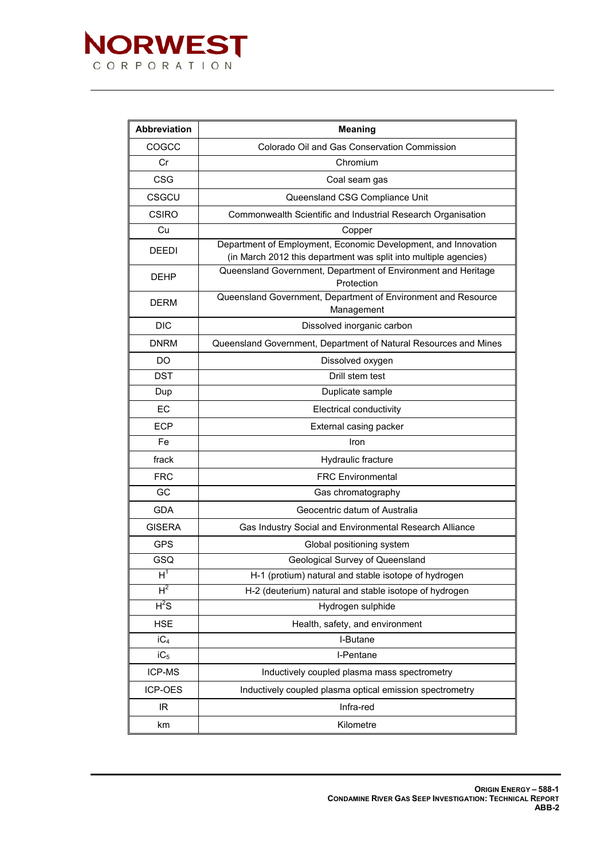

| Abbreviation    | <b>Meaning</b>                                                                                                                     |
|-----------------|------------------------------------------------------------------------------------------------------------------------------------|
| COGCC           | Colorado Oil and Gas Conservation Commission                                                                                       |
| Cr              | Chromium                                                                                                                           |
| <b>CSG</b>      | Coal seam gas                                                                                                                      |
| CSGCU           | Queensland CSG Compliance Unit                                                                                                     |
| <b>CSIRO</b>    | Commonwealth Scientific and Industrial Research Organisation                                                                       |
| Cu              | Copper                                                                                                                             |
| <b>DEEDI</b>    | Department of Employment, Economic Development, and Innovation<br>(in March 2012 this department was split into multiple agencies) |
| <b>DEHP</b>     | Queensland Government, Department of Environment and Heritage<br>Protection                                                        |
| <b>DERM</b>     | Queensland Government, Department of Environment and Resource<br>Management                                                        |
| <b>DIC</b>      | Dissolved inorganic carbon                                                                                                         |
| <b>DNRM</b>     | Queensland Government, Department of Natural Resources and Mines                                                                   |
| <b>DO</b>       | Dissolved oxygen                                                                                                                   |
| <b>DST</b>      | Drill stem test                                                                                                                    |
| Dup             | Duplicate sample                                                                                                                   |
| EC              | Electrical conductivity                                                                                                            |
| <b>ECP</b>      | External casing packer                                                                                                             |
| Fe              | Iron                                                                                                                               |
| frack           | Hydraulic fracture                                                                                                                 |
| <b>FRC</b>      | <b>FRC</b> Environmental                                                                                                           |
| GC              | Gas chromatography                                                                                                                 |
| <b>GDA</b>      | Geocentric datum of Australia                                                                                                      |
| <b>GISERA</b>   | Gas Industry Social and Environmental Research Alliance                                                                            |
| <b>GPS</b>      | Global positioning system                                                                                                          |
| GSQ             | Geological Survey of Queensland                                                                                                    |
| $H^1$           | H-1 (protium) natural and stable isotope of hydrogen                                                                               |
| $H^2$           | H-2 (deuterium) natural and stable isotope of hydrogen                                                                             |
| $H^2S$          | Hydrogen sulphide                                                                                                                  |
| <b>HSE</b>      | Health, safety, and environment                                                                                                    |
| iC <sub>4</sub> | I-Butane                                                                                                                           |
| $iC_5$          | I-Pentane                                                                                                                          |
| ICP-MS          | Inductively coupled plasma mass spectrometry                                                                                       |
| ICP-OES         | Inductively coupled plasma optical emission spectrometry                                                                           |
| IR.             | Infra-red                                                                                                                          |
| km              | Kilometre                                                                                                                          |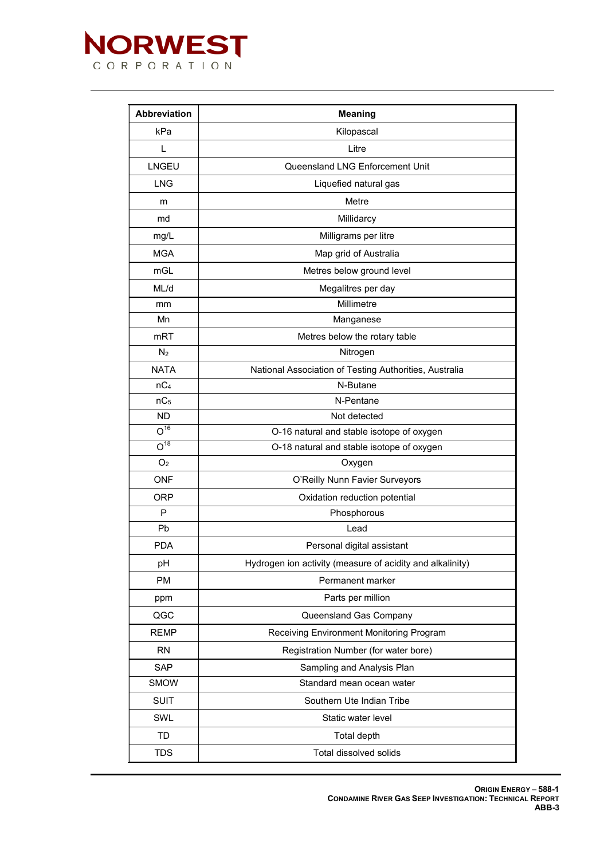

| <b>Abbreviation</b>                          | <b>Meaning</b>                                            |  |
|----------------------------------------------|-----------------------------------------------------------|--|
| kPa                                          | Kilopascal                                                |  |
| L                                            | Litre                                                     |  |
| <b>LNGEU</b>                                 | Queensland LNG Enforcement Unit                           |  |
| <b>LNG</b>                                   | Liquefied natural gas                                     |  |
| m                                            | Metre                                                     |  |
| md                                           | Millidarcy                                                |  |
| mg/L                                         | Milligrams per litre                                      |  |
| <b>MGA</b>                                   | Map grid of Australia                                     |  |
| mGL                                          | Metres below ground level                                 |  |
| ML/d                                         | Megalitres per day                                        |  |
| mm                                           | Millimetre                                                |  |
| Mn                                           | Manganese                                                 |  |
| m <sub>R</sub> T                             | Metres below the rotary table                             |  |
| $N_2$                                        | Nitrogen                                                  |  |
| <b>NATA</b>                                  | National Association of Testing Authorities, Australia    |  |
| nC <sub>4</sub>                              | N-Butane                                                  |  |
| nC <sub>5</sub>                              | N-Pentane                                                 |  |
| <b>ND</b>                                    | Not detected                                              |  |
| $O^{16}$                                     | O-16 natural and stable isotope of oxygen                 |  |
| $O^{18}$                                     | O-18 natural and stable isotope of oxygen                 |  |
| O <sub>2</sub>                               | Oxygen                                                    |  |
| <b>ONF</b><br>O'Reilly Nunn Favier Surveyors |                                                           |  |
| <b>ORP</b>                                   | Oxidation reduction potential                             |  |
| P                                            | Phosphorous                                               |  |
| Pb<br>Lead                                   |                                                           |  |
| <b>PDA</b><br>Personal digital assistant     |                                                           |  |
| pH                                           | Hydrogen ion activity (measure of acidity and alkalinity) |  |
| <b>PM</b>                                    | Permanent marker                                          |  |
| ppm                                          | Parts per million                                         |  |
| QGC                                          | Queensland Gas Company                                    |  |
| <b>REMP</b>                                  | Receiving Environment Monitoring Program                  |  |
| <b>RN</b>                                    | Registration Number (for water bore)                      |  |
| <b>SAP</b>                                   | Sampling and Analysis Plan                                |  |
| <b>SMOW</b>                                  | Standard mean ocean water                                 |  |
| <b>SUIT</b>                                  | Southern Ute Indian Tribe                                 |  |
| SWL                                          | Static water level                                        |  |
| <b>TD</b>                                    | Total depth                                               |  |
| <b>TDS</b>                                   | Total dissolved solids                                    |  |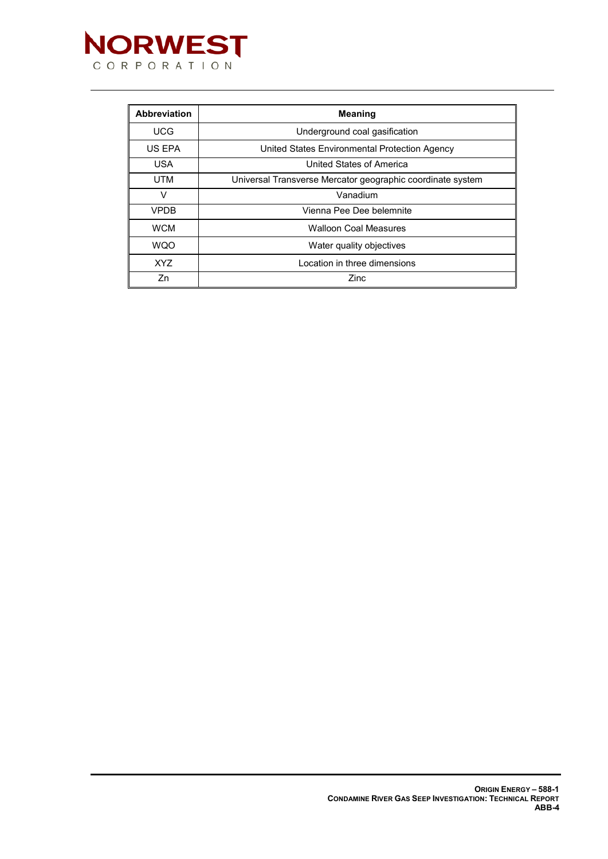

| <b>Abbreviation</b>                                                      | <b>Meaning</b>                                |
|--------------------------------------------------------------------------|-----------------------------------------------|
| <b>UCG</b>                                                               | Underground coal gasification                 |
| US EPA                                                                   | United States Environmental Protection Agency |
| <b>USA</b>                                                               | United States of America                      |
| <b>UTM</b><br>Universal Transverse Mercator geographic coordinate system |                                               |
| ν                                                                        | Vanadium                                      |
| <b>VPDB</b>                                                              | Vienna Pee Dee belemnite                      |
| <b>WCM</b>                                                               | <b>Walloon Coal Measures</b>                  |
| <b>WQO</b>                                                               | Water quality objectives                      |
| XYZ.                                                                     | Location in three dimensions                  |
| Zn                                                                       | Zinc                                          |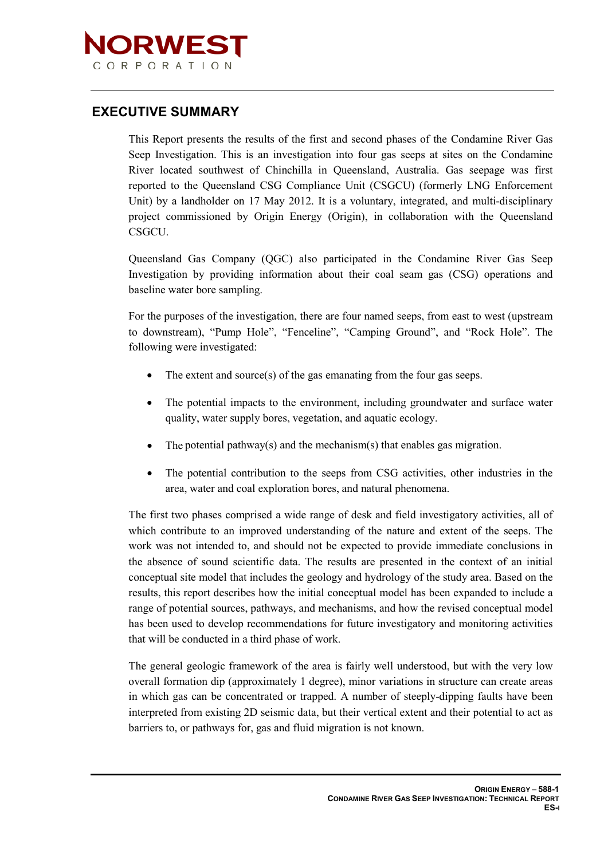

### **EXECUTIVE SUMMARY**

This Report presents the results of the first and second phases of the Condamine River Gas Seep Investigation. This is an investigation into four gas seeps at sites on the Condamine River located southwest of Chinchilla in Queensland, Australia. Gas seepage was first reported to the Queensland CSG Compliance Unit (CSGCU) (formerly LNG Enforcement Unit) by a landholder on 17 May 2012. It is a voluntary, integrated, and multi-disciplinary project commissioned by Origin Energy (Origin), in collaboration with the Queensland CSGCU.

Queensland Gas Company (QGC) also participated in the Condamine River Gas Seep Investigation by providing information about their coal seam gas (CSG) operations and baseline water bore sampling.

For the purposes of the investigation, there are four named seeps, from east to west (upstream to downstream), "Pump Hole", "Fenceline", "Camping Ground", and "Rock Hole". The following were investigated:

- The extent and source(s) of the gas emanating from the four gas seeps.
- The potential impacts to the environment, including groundwater and surface water quality, water supply bores, vegetation, and aquatic ecology.
- The potential pathway(s) and the mechanism(s) that enables gas migration.
- The potential contribution to the seeps from CSG activities, other industries in the area, water and coal exploration bores, and natural phenomena.

The first two phases comprised a wide range of desk and field investigatory activities, all of which contribute to an improved understanding of the nature and extent of the seeps. The work was not intended to, and should not be expected to provide immediate conclusions in the absence of sound scientific data. The results are presented in the context of an initial conceptual site model that includes the geology and hydrology of the study area. Based on the results, this report describes how the initial conceptual model has been expanded to include a range of potential sources, pathways, and mechanisms, and how the revised conceptual model has been used to develop recommendations for future investigatory and monitoring activities that will be conducted in a third phase of work.

The general geologic framework of the area is fairly well understood, but with the very low overall formation dip (approximately 1 degree), minor variations in structure can create areas in which gas can be concentrated or trapped. A number of steeply-dipping faults have been interpreted from existing 2D seismic data, but their vertical extent and their potential to act as barriers to, or pathways for, gas and fluid migration is not known.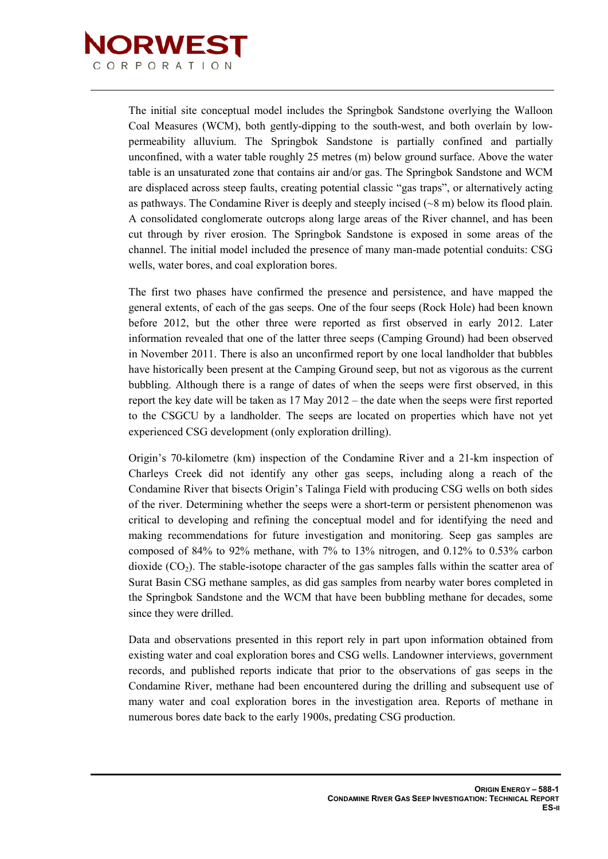

The initial site conceptual model includes the Springbok Sandstone overlying the Walloon Coal Measures (WCM), both gently-dipping to the south-west, and both overlain by lowpermeability alluvium. The Springbok Sandstone is partially confined and partially unconfined, with a water table roughly 25 metres (m) below ground surface. Above the water table is an unsaturated zone that contains air and/or gas. The Springbok Sandstone and WCM are displaced across steep faults, creating potential classic "gas traps", or alternatively acting as pathways. The Condamine River is deeply and steeply incised  $(\sim 8 \text{ m})$  below its flood plain. A consolidated conglomerate outcrops along large areas of the River channel, and has been cut through by river erosion. The Springbok Sandstone is exposed in some areas of the channel. The initial model included the presence of many man-made potential conduits: CSG wells, water bores, and coal exploration bores.

The first two phases have confirmed the presence and persistence, and have mapped the general extents, of each of the gas seeps. One of the four seeps (Rock Hole) had been known before 2012, but the other three were reported as first observed in early 2012. Later information revealed that one of the latter three seeps (Camping Ground) had been observed in November 2011. There is also an unconfirmed report by one local landholder that bubbles have historically been present at the Camping Ground seep, but not as vigorous as the current bubbling. Although there is a range of dates of when the seeps were first observed, in this report the key date will be taken as 17 May 2012 – the date when the seeps were first reported to the CSGCU by a landholder. The seeps are located on properties which have not yet experienced CSG development (only exploration drilling).

Origin's 70-kilometre (km) inspection of the Condamine River and a 21-km inspection of Charleys Creek did not identify any other gas seeps, including along a reach of the Condamine River that bisects Origin's Talinga Field with producing CSG wells on both sides of the river. Determining whether the seeps were a short-term or persistent phenomenon was critical to developing and refining the conceptual model and for identifying the need and making recommendations for future investigation and monitoring. Seep gas samples are composed of 84% to 92% methane, with 7% to 13% nitrogen, and 0.12% to 0.53% carbon dioxide  $(CO<sub>2</sub>)$ . The stable-isotope character of the gas samples falls within the scatter area of Surat Basin CSG methane samples, as did gas samples from nearby water bores completed in the Springbok Sandstone and the WCM that have been bubbling methane for decades, some since they were drilled.

Data and observations presented in this report rely in part upon information obtained from existing water and coal exploration bores and CSG wells. Landowner interviews, government records, and published reports indicate that prior to the observations of gas seeps in the Condamine River, methane had been encountered during the drilling and subsequent use of many water and coal exploration bores in the investigation area. Reports of methane in numerous bores date back to the early 1900s, predating CSG production.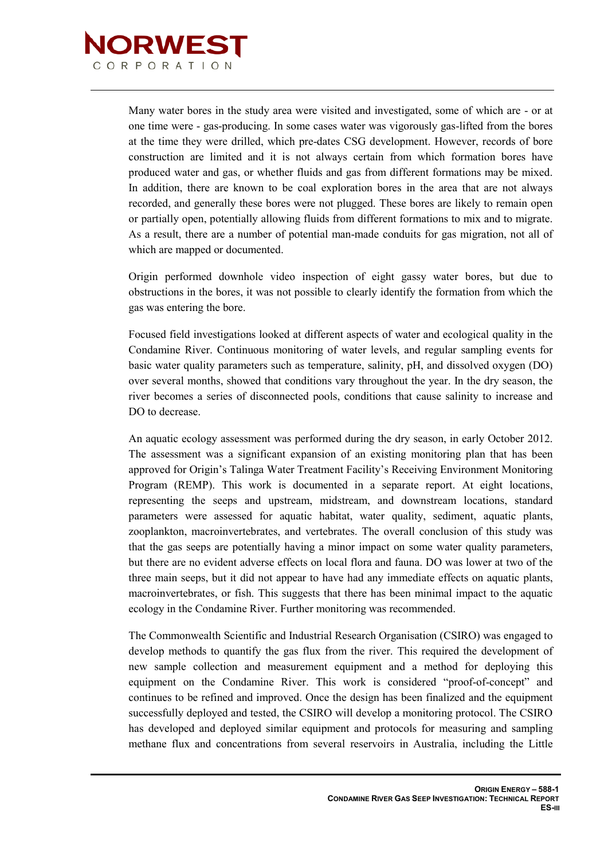

Many water bores in the study area were visited and investigated, some of which are - or at one time were - gas-producing. In some cases water was vigorously gas-lifted from the bores at the time they were drilled, which pre-dates CSG development. However, records of bore construction are limited and it is not always certain from which formation bores have produced water and gas, or whether fluids and gas from different formations may be mixed. In addition, there are known to be coal exploration bores in the area that are not always recorded, and generally these bores were not plugged. These bores are likely to remain open or partially open, potentially allowing fluids from different formations to mix and to migrate. As a result, there are a number of potential man-made conduits for gas migration, not all of which are mapped or documented.

Origin performed downhole video inspection of eight gassy water bores, but due to obstructions in the bores, it was not possible to clearly identify the formation from which the gas was entering the bore.

Focused field investigations looked at different aspects of water and ecological quality in the Condamine River. Continuous monitoring of water levels, and regular sampling events for basic water quality parameters such as temperature, salinity, pH, and dissolved oxygen (DO) over several months, showed that conditions vary throughout the year. In the dry season, the river becomes a series of disconnected pools, conditions that cause salinity to increase and DO to decrease.

An aquatic ecology assessment was performed during the dry season, in early October 2012. The assessment was a significant expansion of an existing monitoring plan that has been approved for Origin's Talinga Water Treatment Facility's Receiving Environment Monitoring Program (REMP). This work is documented in a separate report. At eight locations, representing the seeps and upstream, midstream, and downstream locations, standard parameters were assessed for aquatic habitat, water quality, sediment, aquatic plants, zooplankton, macroinvertebrates, and vertebrates. The overall conclusion of this study was that the gas seeps are potentially having a minor impact on some water quality parameters, but there are no evident adverse effects on local flora and fauna. DO was lower at two of the three main seeps, but it did not appear to have had any immediate effects on aquatic plants, macroinvertebrates, or fish. This suggests that there has been minimal impact to the aquatic ecology in the Condamine River. Further monitoring was recommended.

The Commonwealth Scientific and Industrial Research Organisation (CSIRO) was engaged to develop methods to quantify the gas flux from the river. This required the development of new sample collection and measurement equipment and a method for deploying this equipment on the Condamine River. This work is considered "proof-of-concept" and continues to be refined and improved. Once the design has been finalized and the equipment successfully deployed and tested, the CSIRO will develop a monitoring protocol. The CSIRO has developed and deployed similar equipment and protocols for measuring and sampling methane flux and concentrations from several reservoirs in Australia, including the Little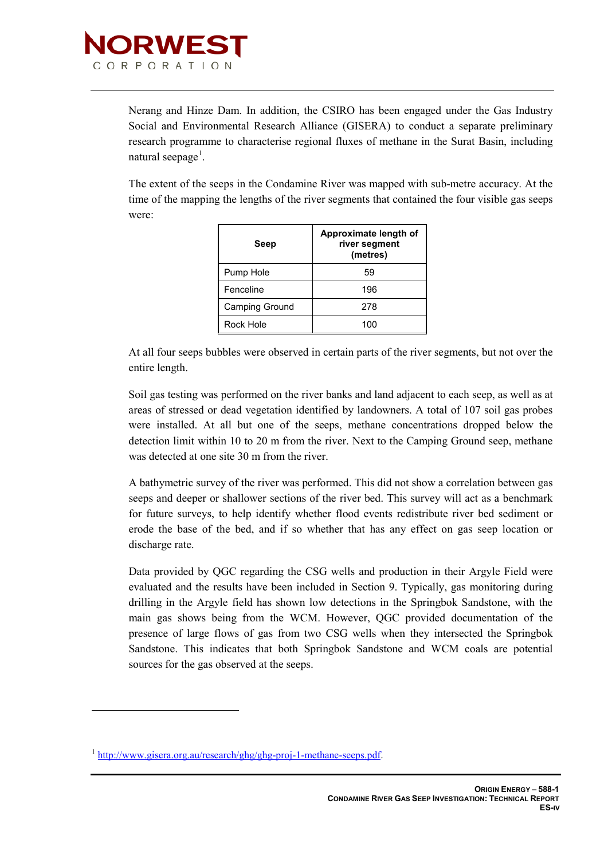

Nerang and Hinze Dam. In addition, the CSIRO has been engaged under the Gas Industry Social and Environmental Research Alliance (GISERA) to conduct a separate preliminary research programme to characterise regional fluxes of methane in the Surat Basin, including natural seepage<sup>1</sup>.

The extent of the seeps in the Condamine River was mapped with sub-metre accuracy. At the time of the mapping the lengths of the river segments that contained the four visible gas seeps were:

| Seep           | Approximate length of<br>river segment<br>(metres) |
|----------------|----------------------------------------------------|
| Pump Hole      | 59                                                 |
| Fenceline      | 196                                                |
| Camping Ground | 278                                                |
| Rock Hole      |                                                    |

At all four seeps bubbles were observed in certain parts of the river segments, but not over the entire length.

Soil gas testing was performed on the river banks and land adjacent to each seep, as well as at areas of stressed or dead vegetation identified by landowners. A total of 107 soil gas probes were installed. At all but one of the seeps, methane concentrations dropped below the detection limit within 10 to 20 m from the river. Next to the Camping Ground seep, methane was detected at one site 30 m from the river.

A bathymetric survey of the river was performed. This did not show a correlation between gas seeps and deeper or shallower sections of the river bed. This survey will act as a benchmark for future surveys, to help identify whether flood events redistribute river bed sediment or erode the base of the bed, and if so whether that has any effect on gas seep location or discharge rate.

Data provided by QGC regarding the CSG wells and production in their Argyle Field were evaluated and the results have been included in Section 9. Typically, gas monitoring during drilling in the Argyle field has shown low detections in the Springbok Sandstone, with the main gas shows being from the WCM. However, QGC provided documentation of the presence of large flows of gas from two CSG wells when they intersected the Springbok Sandstone. This indicates that both Springbok Sandstone and WCM coals are potential sources for the gas observed at the seeps.

-

<sup>1</sup> [http://www.gisera.org.au/research/ghg/ghg-proj-1-methane-seeps.pdf.](http://www.gisera.org.au/research/ghg/ghg-proj-1-methane-seeps.pdf)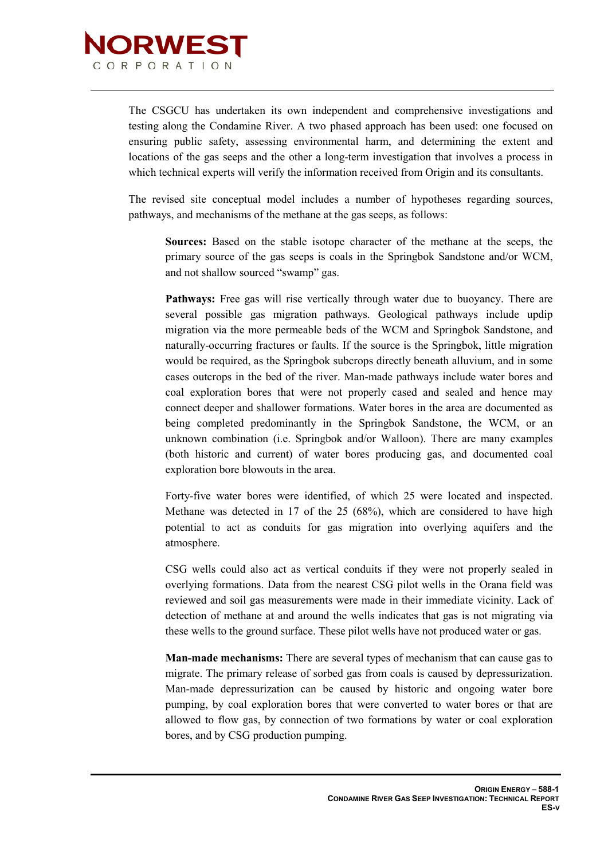

The CSGCU has undertaken its own independent and comprehensive investigations and testing along the Condamine River. A two phased approach has been used: one focused on ensuring public safety, assessing environmental harm, and determining the extent and locations of the gas seeps and the other a long-term investigation that involves a process in which technical experts will verify the information received from Origin and its consultants.

The revised site conceptual model includes a number of hypotheses regarding sources, pathways, and mechanisms of the methane at the gas seeps, as follows:

**Sources:** Based on the stable isotope character of the methane at the seeps, the primary source of the gas seeps is coals in the Springbok Sandstone and/or WCM, and not shallow sourced "swamp" gas.

**Pathways:** Free gas will rise vertically through water due to buoyancy. There are several possible gas migration pathways. Geological pathways include updip migration via the more permeable beds of the WCM and Springbok Sandstone, and naturally-occurring fractures or faults. If the source is the Springbok, little migration would be required, as the Springbok subcrops directly beneath alluvium, and in some cases outcrops in the bed of the river. Man-made pathways include water bores and coal exploration bores that were not properly cased and sealed and hence may connect deeper and shallower formations. Water bores in the area are documented as being completed predominantly in the Springbok Sandstone, the WCM, or an unknown combination (i.e. Springbok and/or Walloon). There are many examples (both historic and current) of water bores producing gas, and documented coal exploration bore blowouts in the area.

Forty-five water bores were identified, of which 25 were located and inspected. Methane was detected in 17 of the 25 (68%), which are considered to have high potential to act as conduits for gas migration into overlying aquifers and the atmosphere.

CSG wells could also act as vertical conduits if they were not properly sealed in overlying formations. Data from the nearest CSG pilot wells in the Orana field was reviewed and soil gas measurements were made in their immediate vicinity. Lack of detection of methane at and around the wells indicates that gas is not migrating via these wells to the ground surface. These pilot wells have not produced water or gas.

**Man-made mechanisms:** There are several types of mechanism that can cause gas to migrate. The primary release of sorbed gas from coals is caused by depressurization. Man-made depressurization can be caused by historic and ongoing water bore pumping, by coal exploration bores that were converted to water bores or that are allowed to flow gas, by connection of two formations by water or coal exploration bores, and by CSG production pumping.